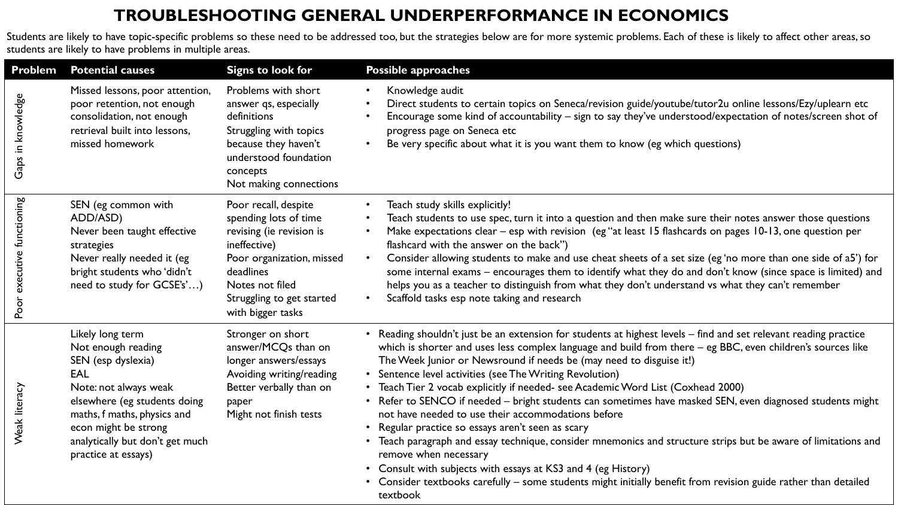## **TROUBLESHOOTING GENERAL UNDERPERFORMANCE IN ECONOMICS**

Students are likely to have topic-specific problems so these need to be addressed too, but the strategies below are for more systemic problems. Each of these is likely to affect other areas, so students are likely to have problems in multiple areas.

| <b>Problem</b>             | <b>Potential causes</b>                                                                                                                                                                                                                       | <b>Signs to look for</b>                                                                                                                                                                                 | <b>Possible approaches</b>                                                                                                                                                                                                                                                                                                                                                                                                                                                                                                                                                                                                                                                                                                                                                                                                                                                                                                                                                                                      |
|----------------------------|-----------------------------------------------------------------------------------------------------------------------------------------------------------------------------------------------------------------------------------------------|----------------------------------------------------------------------------------------------------------------------------------------------------------------------------------------------------------|-----------------------------------------------------------------------------------------------------------------------------------------------------------------------------------------------------------------------------------------------------------------------------------------------------------------------------------------------------------------------------------------------------------------------------------------------------------------------------------------------------------------------------------------------------------------------------------------------------------------------------------------------------------------------------------------------------------------------------------------------------------------------------------------------------------------------------------------------------------------------------------------------------------------------------------------------------------------------------------------------------------------|
| Gaps in knowledge          | Missed lessons, poor attention,<br>poor retention, not enough<br>consolidation, not enough<br>retrieval built into lessons,<br>missed homework                                                                                                | Problems with short<br>answer qs, especially<br>definitions<br>Struggling with topics<br>because they haven't<br>understood foundation<br>concepts<br>Not making connections                             | Knowledge audit<br>$\bullet$<br>Direct students to certain topics on Seneca/revision guide/youtube/tutor2u online lessons/Ezy/uplearn etc<br>Encourage some kind of accountability - sign to say they've understood/expectation of notes/screen shot of<br>$\bullet$<br>progress page on Seneca etc<br>Be very specific about what it is you want them to know (eg which questions)<br>$\bullet$                                                                                                                                                                                                                                                                                                                                                                                                                                                                                                                                                                                                                |
| Poor executive functioning | SEN (eg common with<br>ADD/ASD)<br>Never been taught effective<br>strategies<br>Never really needed it (eg<br>bright students who 'didn't<br>need to study for GCSE's')                                                                       | Poor recall, despite<br>spending lots of time<br>revising (ie revision is<br>ineffective)<br>Poor organization, missed<br>deadlines<br>Notes not filed<br>Struggling to get started<br>with bigger tasks | Teach study skills explicitly!<br>$\bullet$<br>Teach students to use spec, turn it into a question and then make sure their notes answer those questions<br>$\bullet$<br>Make expectations clear – esp with revision (eg "at least 15 flashcards on pages 10-13, one question per<br>$\bullet$<br>flashcard with the answer on the back")<br>Consider allowing students to make and use cheat sheets of a set size (eg 'no more than one side of a5') for<br>$\bullet$<br>some internal exams – encourages them to identify what they do and don't know (since space is limited) and<br>helps you as a teacher to distinguish from what they don't understand vs what they can't remember<br>Scaffold tasks esp note taking and research<br>$\bullet$                                                                                                                                                                                                                                                           |
| Weak literacy              | Likely long term<br>Not enough reading<br>SEN (esp dyslexia)<br>EAL<br>Note: not always weak<br>elsewhere (eg students doing<br>maths, f maths, physics and<br>econ might be strong<br>analytically but don't get much<br>practice at essays) | Stronger on short<br>answer/MCQs than on<br>longer answers/essays<br>Avoiding writing/reading<br>Better verbally than on<br>paper<br>Might not finish tests                                              | • Reading shouldn't just be an extension for students at highest levels – find and set relevant reading practice<br>which is shorter and uses less complex language and build from there - eg BBC, even children's sources like<br>The Week Junior or Newsround if needs be (may need to disguise it!)<br>• Sentence level activities (see The Writing Revolution)<br>Teach Tier 2 vocab explicitly if needed- see Academic Word List (Coxhead 2000)<br>• Refer to SENCO if needed – bright students can sometimes have masked SEN, even diagnosed students might<br>not have needed to use their accommodations before<br>Regular practice so essays aren't seen as scary<br>Teach paragraph and essay technique, consider mnemonics and structure strips but be aware of limitations and<br>remove when necessary<br>Consult with subjects with essays at KS3 and 4 (eg History)<br>Consider textbooks carefully - some students might initially benefit from revision guide rather than detailed<br>textbook |